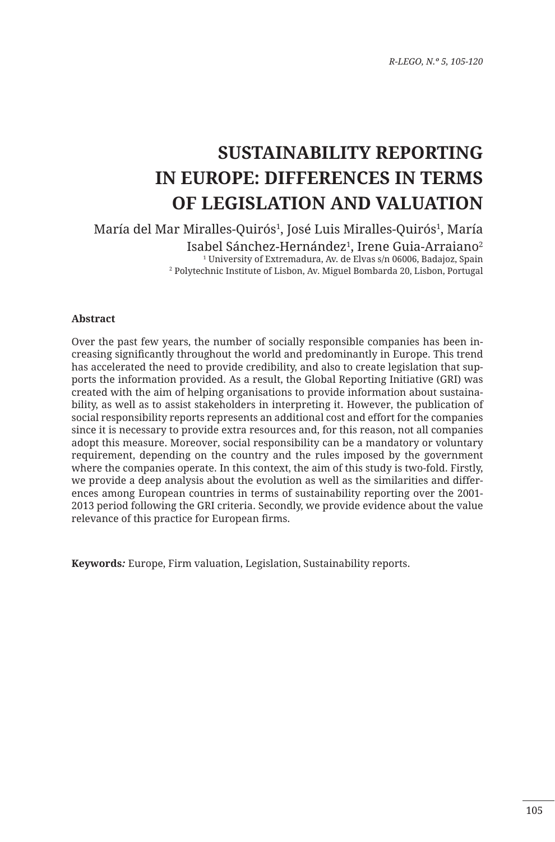# **SUSTAINABILITY REPORTING IN EUROPE: DIFFERENCES IN TERMS OF LEGISLATION AND VALUATION**

María del Mar Miralles-Quirós<sup>1</sup>, José Luis Miralles-Quirós<sup>1</sup>, María Isabel Sánchez-Hernández<sup>1</sup>, Irene Guia-Arraiano<sup>2</sup> 1 University of Extremadura, Av. de Elvas s/n 06006, Badajoz, Spain 2 Polytechnic Institute of Lisbon, Av. Miguel Bombarda 20, Lisbon, Portugal

#### **Abstract**

Over the past few years, the number of socially responsible companies has been increasing significantly throughout the world and predominantly in Europe. This trend has accelerated the need to provide credibility, and also to create legislation that supports the information provided. As a result, the Global Reporting Initiative (GRI) was created with the aim of helping organisations to provide information about sustainability, as well as to assist stakeholders in interpreting it. However, the publication of social responsibility reports represents an additional cost and effort for the companies since it is necessary to provide extra resources and, for this reason, not all companies adopt this measure. Moreover, social responsibility can be a mandatory or voluntary requirement, depending on the country and the rules imposed by the government where the companies operate. In this context, the aim of this study is two-fold. Firstly, we provide a deep analysis about the evolution as well as the similarities and differences among European countries in terms of sustainability reporting over the 2001- 2013 period following the GRI criteria. Secondly, we provide evidence about the value relevance of this practice for European firms.

**Keywords***:* Europe, Firm valuation, Legislation, Sustainability reports.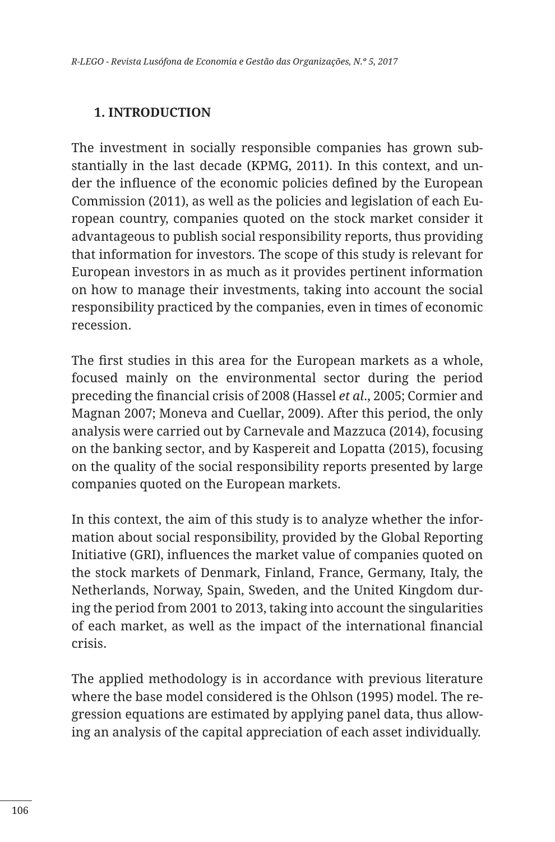#### **1. INTRODUCTION**

The investment in socially responsible companies has grown substantially in the last decade (KPMG, 2011). In this context, and under the influence of the economic policies defined by the European Commission (2011), as well as the policies and legislation of each European country, companies quoted on the stock market consider it advantageous to publish social responsibility reports, thus providing that information for investors. The scope of this study is relevant for European investors in as much as it provides pertinent information on how to manage their investments, taking into account the social responsibility practiced by the companies, even in times of economic recession.

The first studies in this area for the European markets as a whole, focused mainly on the environmental sector during the period preceding the financial crisis of 2008 (Hassel *et al*., 2005; Cormier and Magnan 2007; Moneva and Cuellar, 2009). After this period, the only analysis were carried out by Carnevale and Mazzuca (2014), focusing on the banking sector, and by Kaspereit and Lopatta (2015), focusing on the quality of the social responsibility reports presented by large companies quoted on the European markets.

In this context, the aim of this study is to analyze whether the information about social responsibility, provided by the Global Reporting Initiative (GRI), influences the market value of companies quoted on the stock markets of Denmark, Finland, France, Germany, Italy, the Netherlands, Norway, Spain, Sweden, and the United Kingdom during the period from 2001 to 2013, taking into account the singularities of each market, as well as the impact of the international financial crisis.

The applied methodology is in accordance with previous literature where the base model considered is the Ohlson (1995) model. The regression equations are estimated by applying panel data, thus allowing an analysis of the capital appreciation of each asset individually.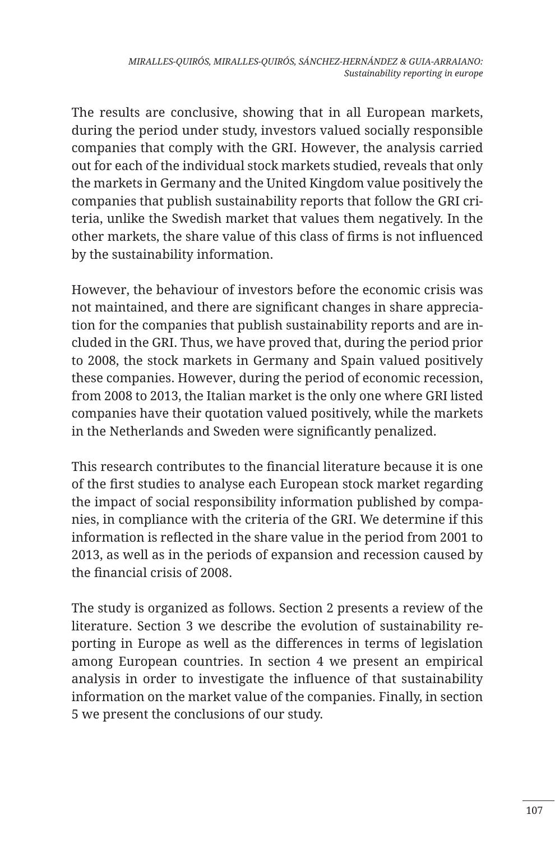The results are conclusive, showing that in all European markets, during the period under study, investors valued socially responsible companies that comply with the GRI. However, the analysis carried out for each of the individual stock markets studied, reveals that only the markets in Germany and the United Kingdom value positively the companies that publish sustainability reports that follow the GRI criteria, unlike the Swedish market that values them negatively. In the other markets, the share value of this class of firms is not influenced by the sustainability information.

However, the behaviour of investors before the economic crisis was not maintained, and there are significant changes in share appreciation for the companies that publish sustainability reports and are included in the GRI. Thus, we have proved that, during the period prior to 2008, the stock markets in Germany and Spain valued positively these companies. However, during the period of economic recession, from 2008 to 2013, the Italian market is the only one where GRI listed companies have their quotation valued positively, while the markets in the Netherlands and Sweden were significantly penalized.

This research contributes to the financial literature because it is one of the first studies to analyse each European stock market regarding the impact of social responsibility information published by companies, in compliance with the criteria of the GRI. We determine if this information is reflected in the share value in the period from 2001 to 2013, as well as in the periods of expansion and recession caused by the financial crisis of 2008.

The study is organized as follows. Section 2 presents a review of the literature. Section 3 we describe the evolution of sustainability reporting in Europe as well as the differences in terms of legislation among European countries. In section 4 we present an empirical analysis in order to investigate the influence of that sustainability information on the market value of the companies. Finally, in section 5 we present the conclusions of our study.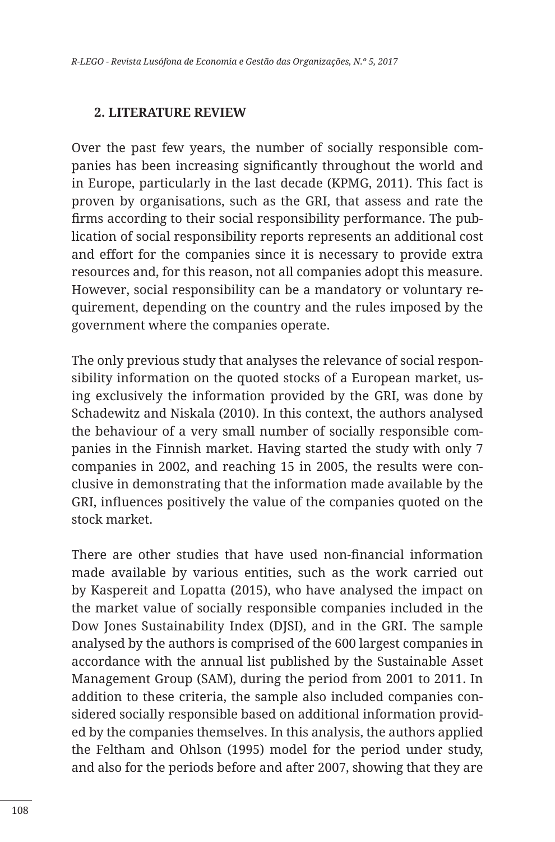#### **2. LITERATURE REVIEW**

Over the past few years, the number of socially responsible companies has been increasing significantly throughout the world and in Europe, particularly in the last decade (KPMG, 2011). This fact is proven by organisations, such as the GRI, that assess and rate the firms according to their social responsibility performance. The publication of social responsibility reports represents an additional cost and effort for the companies since it is necessary to provide extra resources and, for this reason, not all companies adopt this measure. However, social responsibility can be a mandatory or voluntary requirement, depending on the country and the rules imposed by the government where the companies operate.

The only previous study that analyses the relevance of social responsibility information on the quoted stocks of a European market, using exclusively the information provided by the GRI, was done by Schadewitz and Niskala (2010). In this context, the authors analysed the behaviour of a very small number of socially responsible companies in the Finnish market. Having started the study with only 7 companies in 2002, and reaching 15 in 2005, the results were conclusive in demonstrating that the information made available by the GRI, influences positively the value of the companies quoted on the stock market.

There are other studies that have used non-financial information made available by various entities, such as the work carried out by Kaspereit and Lopatta (2015), who have analysed the impact on the market value of socially responsible companies included in the Dow Jones Sustainability Index (DJSI), and in the GRI. The sample analysed by the authors is comprised of the 600 largest companies in accordance with the annual list published by the Sustainable Asset Management Group (SAM), during the period from 2001 to 2011. In addition to these criteria, the sample also included companies considered socially responsible based on additional information provided by the companies themselves. In this analysis, the authors applied the Feltham and Ohlson (1995) model for the period under study, and also for the periods before and after 2007, showing that they are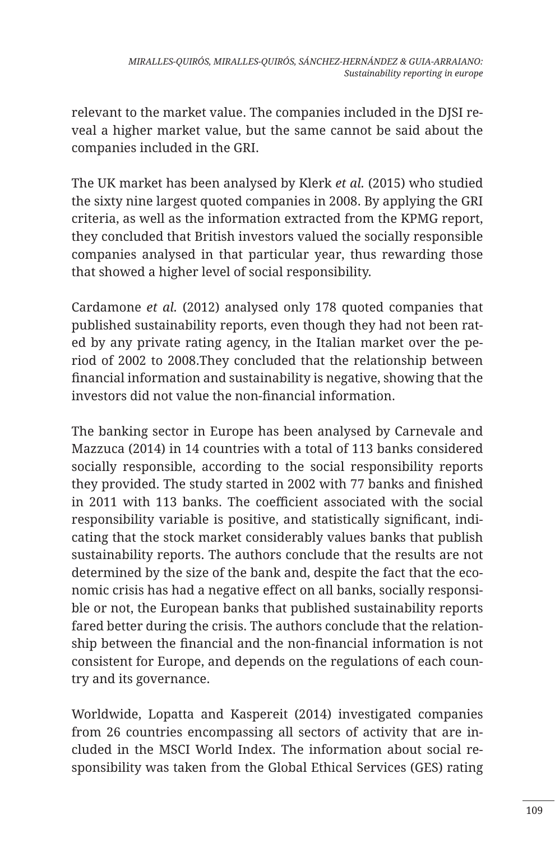relevant to the market value. The companies included in the DJSI reveal a higher market value, but the same cannot be said about the companies included in the GRI.

The UK market has been analysed by Klerk *et al.* (2015) who studied the sixty nine largest quoted companies in 2008. By applying the GRI criteria, as well as the information extracted from the KPMG report, they concluded that British investors valued the socially responsible companies analysed in that particular year, thus rewarding those that showed a higher level of social responsibility.

Cardamone *et al.* (2012) analysed only 178 quoted companies that published sustainability reports, even though they had not been rated by any private rating agency, in the Italian market over the period of 2002 to 2008.They concluded that the relationship between financial information and sustainability is negative, showing that the investors did not value the non-financial information.

The banking sector in Europe has been analysed by Carnevale and Mazzuca (2014) in 14 countries with a total of 113 banks considered socially responsible, according to the social responsibility reports they provided. The study started in 2002 with 77 banks and finished in 2011 with 113 banks. The coefficient associated with the social responsibility variable is positive, and statistically significant, indicating that the stock market considerably values banks that publish sustainability reports. The authors conclude that the results are not determined by the size of the bank and, despite the fact that the economic crisis has had a negative effect on all banks, socially responsible or not, the European banks that published sustainability reports fared better during the crisis. The authors conclude that the relationship between the financial and the non-financial information is not consistent for Europe, and depends on the regulations of each country and its governance.

Worldwide, Lopatta and Kaspereit (2014) investigated companies from 26 countries encompassing all sectors of activity that are included in the MSCI World Index. The information about social responsibility was taken from the Global Ethical Services (GES) rating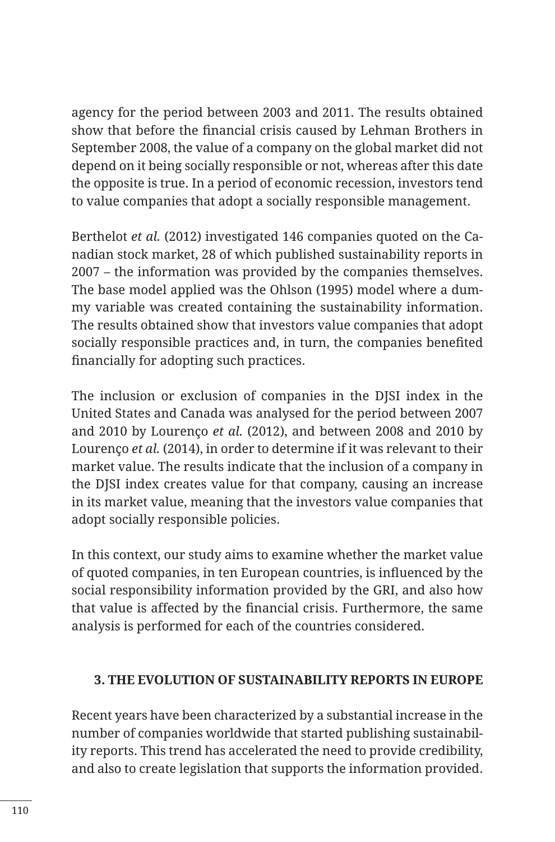agency for the period between 2003 and 2011. The results obtained show that before the financial crisis caused by Lehman Brothers in September 2008, the value of a company on the global market did not depend on it being socially responsible or not, whereas after this date the opposite is true. In a period of economic recession, investors tend to value companies that adopt a socially responsible management.

Berthelot *et al.* (2012) investigated 146 companies quoted on the Canadian stock market, 28 of which published sustainability reports in 2007 – the information was provided by the companies themselves. The base model applied was the Ohlson (1995) model where a dummy variable was created containing the sustainability information. The results obtained show that investors value companies that adopt socially responsible practices and, in turn, the companies benefited financially for adopting such practices.

The inclusion or exclusion of companies in the DJSI index in the United States and Canada was analysed for the period between 2007 and 2010 by Lourenço *et al.* (2012), and between 2008 and 2010 by Lourenço *et al.* (2014), in order to determine if it was relevant to their market value. The results indicate that the inclusion of a company in the DJSI index creates value for that company, causing an increase in its market value, meaning that the investors value companies that adopt socially responsible policies.

In this context, our study aims to examine whether the market value of quoted companies, in ten European countries, is influenced by the social responsibility information provided by the GRI, and also how that value is affected by the financial crisis. Furthermore, the same analysis is performed for each of the countries considered.

### **3. THE EVOLUTION OF SUSTAINABILITY REPORTS IN EUROPE**

Recent years have been characterized by a substantial increase in the number of companies worldwide that started publishing sustainability reports. This trend has accelerated the need to provide credibility, and also to create legislation that supports the information provided.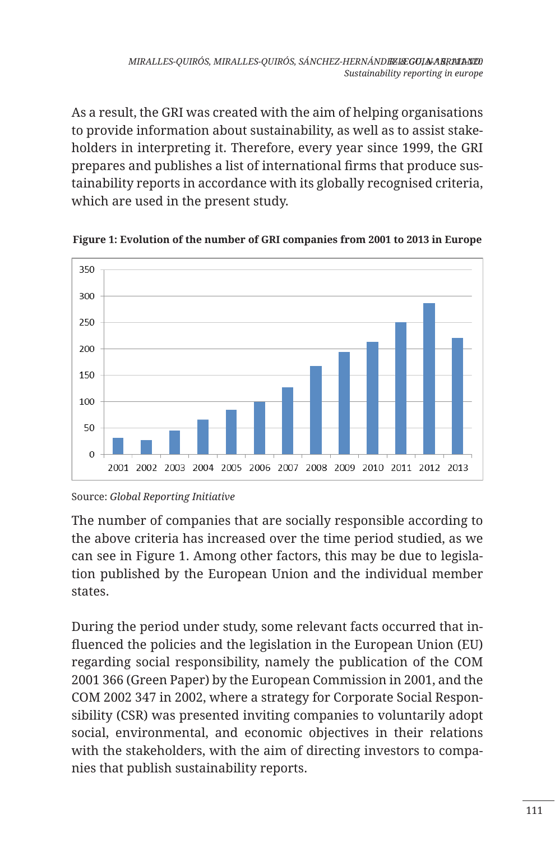As a result, the GRI was created with the aim of helping organisations to provide information about sustainability, as well as to assist stakeholders in interpreting it. Therefore, every year since 1999, the GRI prepares and publishes a list of international firms that produce sustainability reports in accordance with its globally recognised criteria, which are used in the present study.



**Figure 1: Evolution of the number of GRI companies from 2001 to 2013 in Europe**

Source: *Global Reporting Initiative*

The number of companies that are socially responsible according to the above criteria has increased over the time period studied, as we can see in Figure 1. Among other factors, this may be due to legislation published by the European Union and the individual member states.

During the period under study, some relevant facts occurred that influenced the policies and the legislation in the European Union (EU) regarding social responsibility, namely the publication of the COM 2001 366 (Green Paper) by the European Commission in 2001, and the COM 2002 347 in 2002, where a strategy for Corporate Social Responsibility (CSR) was presented inviting companies to voluntarily adopt social, environmental, and economic objectives in their relations with the stakeholders, with the aim of directing investors to companies that publish sustainability reports.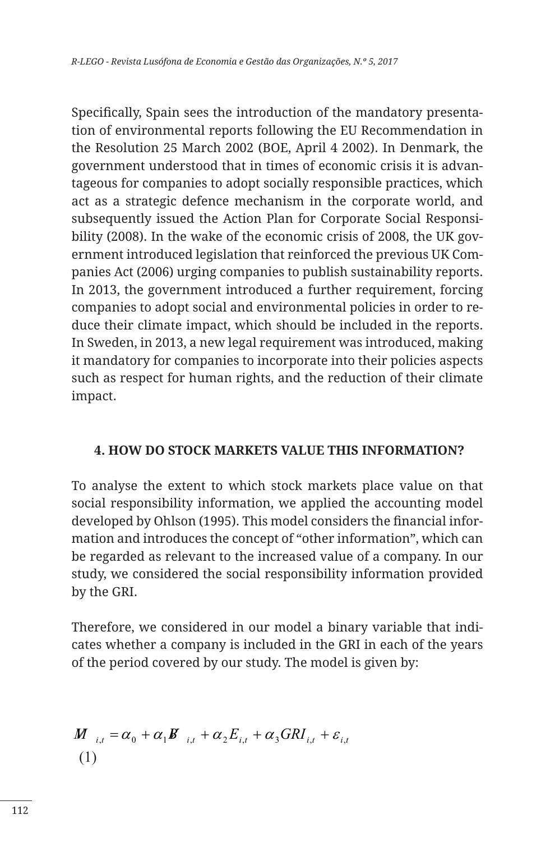Specifically, Spain sees the introduction of the mandatory presentation of environmental reports following the EU Recommendation in the Resolution 25 March 2002 (BOE, April 4 2002). In Denmark, the government understood that in times of economic crisis it is advantageous for companies to adopt socially responsible practices, which act as a strategic defence mechanism in the corporate world, and subsequently issued the Action Plan for Corporate Social Responsibility (2008). In the wake of the economic crisis of 2008, the UK government introduced legislation that reinforced the previous UK Companies Act (2006) urging companies to publish sustainability reports. In 2013, the government introduced a further requirement, forcing companies to adopt social and environmental policies in order to reduce their climate impact, which should be included in the reports. In Sweden, in 2013, a new legal requirement was introduced, making it mandatory for companies to incorporate into their policies aspects such as respect for human rights, and the reduction of their climate impact.

#### **4. HOW DO STOCK MARKETS VALUE THIS INFORMATION?**

To analyse the extent to which stock markets place value on that social responsibility information, we applied the accounting model developed by Ohlson (1995). This model considers the financial information and introduces the concept of "other information", which can be regarded as relevant to the increased value of a company. In our study, we considered the social responsibility information provided by the GRI.

Therefore, we considered in our model a binary variable that indicates whether a company is included in the GRI in each of the years of the period covered by our study. The model is given by:

$$
\begin{aligned} M_{i,t} &= \alpha_0 + \alpha_1 \mathbf{B}_{i,t} + \alpha_2 E_{i,t} + \alpha_3 GRI_{i,t} + \varepsilon_{i,t} \\ (1) \end{aligned}
$$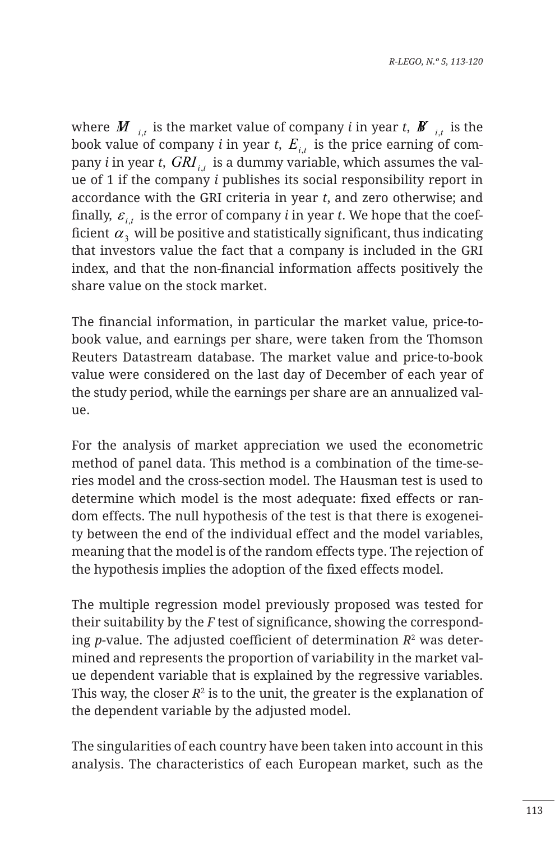where  $M_{i}$ , is the market value of company *i* in year *t*,  $\boldsymbol{B}^{i}$ , is the book value of company *i* in year *t*,  $E_{i,t}$  is the price earning of company *i* in year *t*,  $GRI$ <sub>*i*,</sub> is a dummy variable, which assumes the value of 1 if the company *i* publishes its social responsibility report in accordance with the GRI criteria in year *t*, and zero otherwise; and finally,  $\varepsilon_i$ , is the error of company *i* in year *t*. We hope that the coefficient  $\alpha_3$  will be positive and statistically significant, thus indicating that investors value the fact that a company is included in the GRI index, and that the non-financial information affects positively the share value on the stock market.

The financial information, in particular the market value, price-tobook value, and earnings per share, were taken from the Thomson Reuters Datastream database. The market value and price-to-book value were considered on the last day of December of each year of the study period, while the earnings per share are an annualized value.

For the analysis of market appreciation we used the econometric method of panel data. This method is a combination of the time-series model and the cross-section model. The Hausman test is used to determine which model is the most adequate: fixed effects or random effects. The null hypothesis of the test is that there is exogeneity between the end of the individual effect and the model variables, meaning that the model is of the random effects type. The rejection of the hypothesis implies the adoption of the fixed effects model.

The multiple regression model previously proposed was tested for their suitability by the *F* test of significance, showing the corresponding *p-*value. The adjusted coefficient of determination *R*<sup>2</sup> was determined and represents the proportion of variability in the market value dependent variable that is explained by the regressive variables. This way, the closer  $R^2$  is to the unit, the greater is the explanation of the dependent variable by the adjusted model.

The singularities of each country have been taken into account in this analysis. The characteristics of each European market, such as the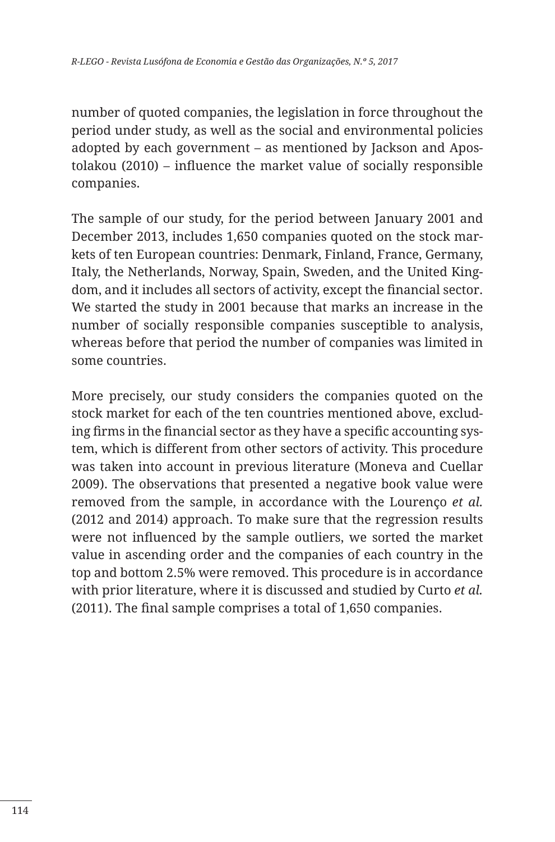number of quoted companies, the legislation in force throughout the period under study, as well as the social and environmental policies adopted by each government – as mentioned by Jackson and Apostolakou (2010) – influence the market value of socially responsible companies.

The sample of our study, for the period between January 2001 and December 2013, includes 1,650 companies quoted on the stock markets of ten European countries: Denmark, Finland, France, Germany, Italy, the Netherlands, Norway, Spain, Sweden, and the United Kingdom, and it includes all sectors of activity, except the financial sector. We started the study in 2001 because that marks an increase in the number of socially responsible companies susceptible to analysis, whereas before that period the number of companies was limited in some countries.

More precisely, our study considers the companies quoted on the stock market for each of the ten countries mentioned above, excluding firms in the financial sector as they have a specific accounting system, which is different from other sectors of activity. This procedure was taken into account in previous literature (Moneva and Cuellar 2009). The observations that presented a negative book value were removed from the sample, in accordance with the Lourenço *et al.*  (2012 and 2014) approach. To make sure that the regression results were not influenced by the sample outliers, we sorted the market value in ascending order and the companies of each country in the top and bottom 2.5% were removed. This procedure is in accordance with prior literature, where it is discussed and studied by Curto *et al.*  (2011). The final sample comprises a total of 1,650 companies.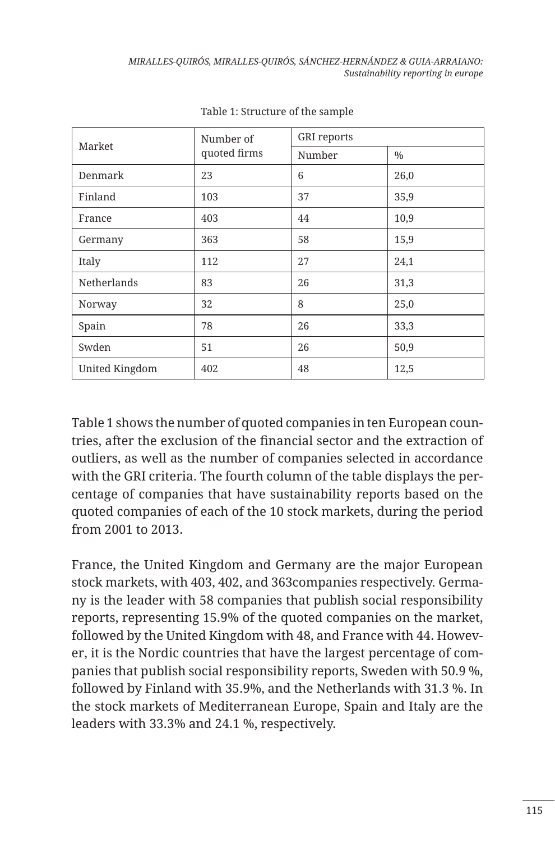| Market         | Number of    | <b>GRI</b> reports |      |
|----------------|--------------|--------------------|------|
|                | quoted firms | Number             | $\%$ |
| Denmark        | 23           | 6                  | 26,0 |
| Finland        | 103          | 37                 | 35,9 |
| France         | 403          | 44                 | 10,9 |
| Germany        | 363          | 58                 | 15,9 |
| Italy          | 112          | 27                 | 24,1 |
| Netherlands    | 83           | 26                 | 31,3 |
| Norway         | 32           | 8                  | 25,0 |
| Spain          | 78           | 26                 | 33,3 |
| Swden          | 51           | 26                 | 50,9 |
| United Kingdom | 402          | 48                 | 12,5 |

Table 1: Structure of the sample

Table 1 shows the number of quoted companies in ten European countries, after the exclusion of the financial sector and the extraction of outliers, as well as the number of companies selected in accordance with the GRI criteria. The fourth column of the table displays the percentage of companies that have sustainability reports based on the quoted companies of each of the 10 stock markets, during the period from 2001 to 2013.

France, the United Kingdom and Germany are the major European stock markets, with 403, 402, and 363companies respectively. Germany is the leader with 58 companies that publish social responsibility reports, representing 15.9% of the quoted companies on the market, followed by the United Kingdom with 48, and France with 44. However, it is the Nordic countries that have the largest percentage of companies that publish social responsibility reports, Sweden with 50.9 %, followed by Finland with 35.9%, and the Netherlands with 31.3 %. In the stock markets of Mediterranean Europe, Spain and Italy are the leaders with 33.3% and 24.1 %, respectively.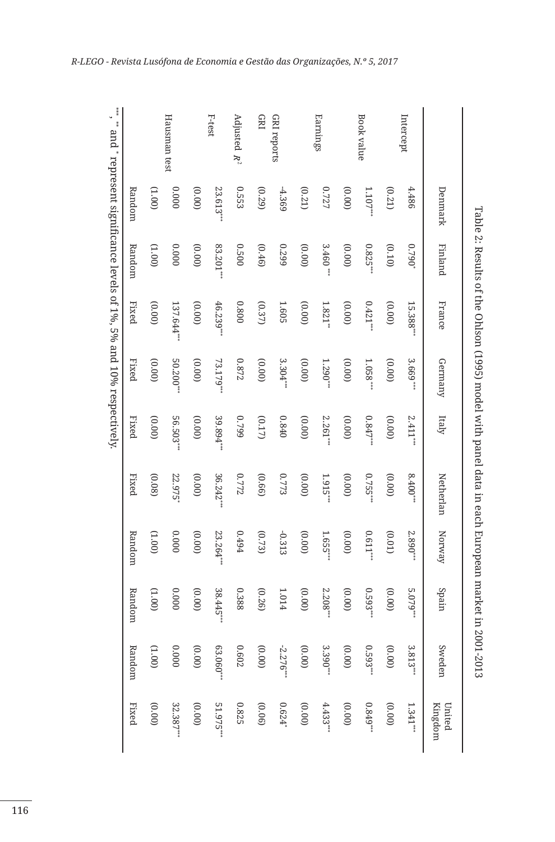|                | Denmark         | Finland       | France                | Germany                                                             | Italy      | Netherlan | Norway      | Spain      | Sweden      | Kingdom<br>United |
|----------------|-----------------|---------------|-----------------------|---------------------------------------------------------------------|------------|-----------|-------------|------------|-------------|-------------------|
| Intercept      | 4.486           | $0.790^{*}$   | 15.388**              | 3.669                                                               | 2.411      | 8.400     | 2.890***    | 5.079***   | 3.813       | 1.341             |
|                | (0.21)          | (0.10)        | (0.00)                | (0.00)                                                              | (0.00)     | (0.00)    | (0.01)      | (0.00)     | (00.00)     | (00.00)           |
| Book value     | $1.107***$      | $0.825***$    | $0.421***$            | $1.058***$                                                          | $0.847$ ** | 0.755***  | $0.611***$  | $0.593***$ | $0.593***$  | $0.849***$        |
|                | (0.00)          | (00.00)       | (00.00)               | (0.00)                                                              | (0.00)     | (00.00)   | (00.00)     | (00.00)    | (00.00)     | (00.00)           |
| Earnings       | 0.727           | 3.460         | $1.821$ <sup>**</sup> | 1.290                                                               | 2.261      | 1.915**   | 1.655***    | 2.208      | 3.390       | 4.433             |
|                | (0.21)          | (0.00)        | (0.00)                | (0.00)                                                              | (00.00)    | (00.00)   | (00.00)     | (00.00)    | (0.00)      | (00.00)           |
| GRI reports    | $-4.369$        | 0.299         | 1.605                 | 3.304                                                               | 0.840      | 0.773     | $-0.313$    | 1.014      | $-2.276***$ | $0.624*$          |
| <b>GRI</b>     | (0.29)          | (0.46)        | (0.37)                | (00.00)                                                             | (0.17)     | (0.66)    | (0.73)      | (0.26)     | (00.00)     | (0.06)            |
| Adjusted $R^2$ | 0.553           | 0.500         | 0.800                 | $0.872\,$                                                           | 6620       | 0.772     | 19494       | 0.388      | 0.602       | 0.825             |
| F-test         | $23.613**$      | $83.201^{**}$ | $46.239**$            | 73.179*                                                             | 39.894**   | 36.242*   | $23.264$ ** | 38.445**   | $63.060**$  | 51.975**          |
|                | (00.00)         | (0.00)        | (0.00)                | (00.00)                                                             | (00.00)    | (0.00)    | (00.00)     | (0.00)     | (00.00)     | (0.00)            |
| Hausman test   | 0000            | 0000          | $137.644*$            | $50.200**$                                                          | 56.503**   | 22.975    | 0000        | 0000       | 0000        | $32.387**$        |
|                | $(00^{\circ}L)$ | (1.00)        | (0.00)                | (0.00)                                                              | (00.00)    | (0.08)    | (001)       | (001)      | (001)       | (00.00)           |
|                | Random          | Random        | Fixed                 | <b>Fixed</b>                                                        | Fixed      | Fixed     | Random      | Random     | Random      | Fixed             |
|                |                 |               |                       | and * represent significance levels of 1%, 5% and 10% respectively. |            |           |             |            |             |                   |
|                |                 |               |                       |                                                                     |            |           |             |            |             |                   |

Table 2: Results of the Ohlson (1995) model with panel data in each European market in 2001-2013

Table 2: Results of the Ohlson (1995) model with panel data in each European market in 2001-2013

*R-LEGO - Revista Lusófona de Economia e Gestão das Organizações, N.º 5, 2017*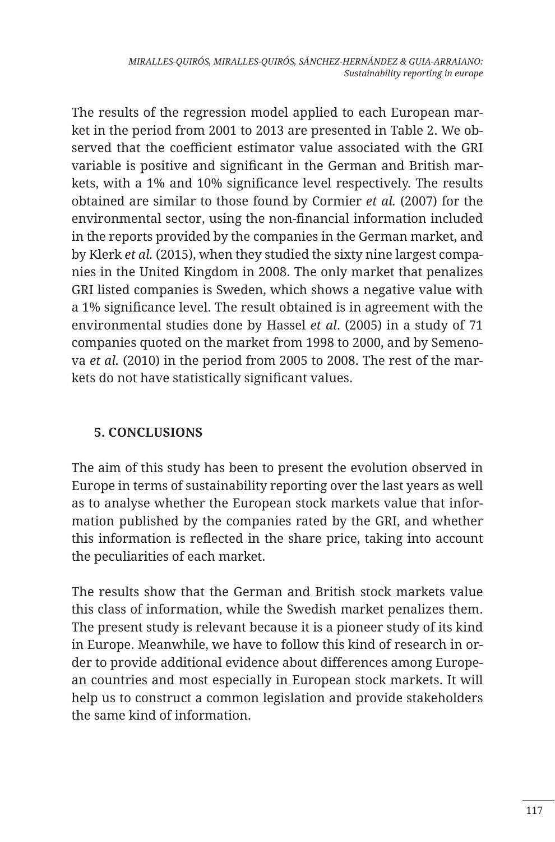The results of the regression model applied to each European market in the period from 2001 to 2013 are presented in Table 2. We observed that the coefficient estimator value associated with the GRI variable is positive and significant in the German and British markets, with a 1% and 10% significance level respectively. The results obtained are similar to those found by Cormier *et al.* (2007) for the environmental sector, using the non-financial information included in the reports provided by the companies in the German market, and by Klerk *et al.* (2015), when they studied the sixty nine largest companies in the United Kingdom in 2008. The only market that penalizes GRI listed companies is Sweden, which shows a negative value with a 1% significance level. The result obtained is in agreement with the environmental studies done by Hassel *et al*. (2005) in a study of 71 companies quoted on the market from 1998 to 2000, and by Semenova *et al.* (2010) in the period from 2005 to 2008. The rest of the markets do not have statistically significant values.

## **5. CONCLUSIONS**

The aim of this study has been to present the evolution observed in Europe in terms of sustainability reporting over the last years as well as to analyse whether the European stock markets value that information published by the companies rated by the GRI, and whether this information is reflected in the share price, taking into account the peculiarities of each market.

The results show that the German and British stock markets value this class of information, while the Swedish market penalizes them. The present study is relevant because it is a pioneer study of its kind in Europe. Meanwhile, we have to follow this kind of research in order to provide additional evidence about differences among European countries and most especially in European stock markets. It will help us to construct a common legislation and provide stakeholders the same kind of information.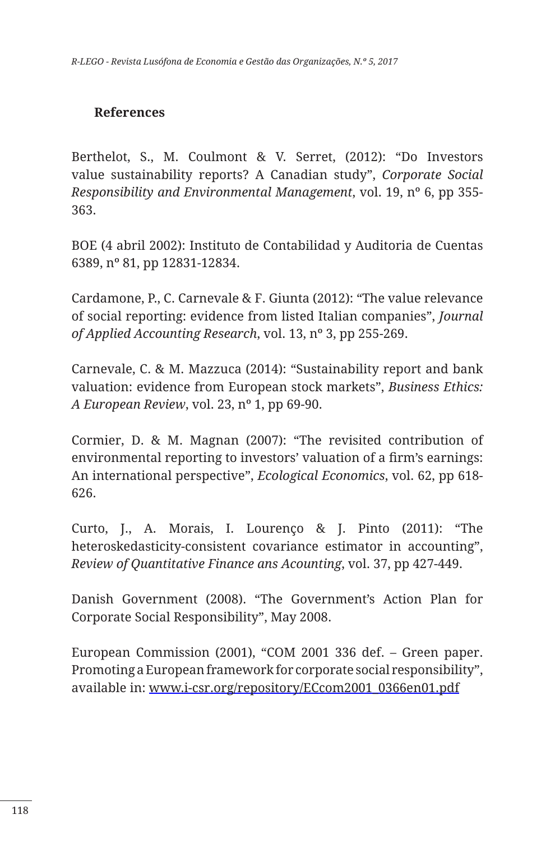#### **References**

Berthelot, S., M. Coulmont & V. Serret, (2012): "Do Investors value sustainability reports? A Canadian study", *Corporate Social Responsibility and Environmental Management*, vol. 19, nº 6, pp 355- 363.

BOE (4 abril 2002): Instituto de Contabilidad y Auditoria de Cuentas 6389, nº 81, pp 12831-12834.

Cardamone, P., C. Carnevale & F. Giunta (2012): "The value relevance of social reporting: evidence from listed Italian companies", *Journal of Applied Accounting Research*, vol. 13, nº 3, pp 255-269.

Carnevale, C. & M. Mazzuca (2014): "Sustainability report and bank valuation: evidence from European stock markets", *Business Ethics: A European Review*, vol. 23, nº 1, pp 69-90.

Cormier, D. & M. Magnan (2007): "The revisited contribution of environmental reporting to investors' valuation of a firm's earnings: An international perspective", *Ecological Economics*, vol. 62, pp 618- 626.

Curto, J., A. Morais, I. Lourenço & J. Pinto (2011): "The heteroskedasticity-consistent covariance estimator in accounting", *Review of Quantitative Finance ans Acounting*, vol. 37, pp 427-449.

Danish Government (2008). "The Government's Action Plan for Corporate Social Responsibility", May 2008.

European Commission (2001), "COM 2001 336 def. – Green paper. Promoting a European framework for corporate social responsibility", available in: www.i-csr.org/repository/ECcom2001\_0366en01.pdf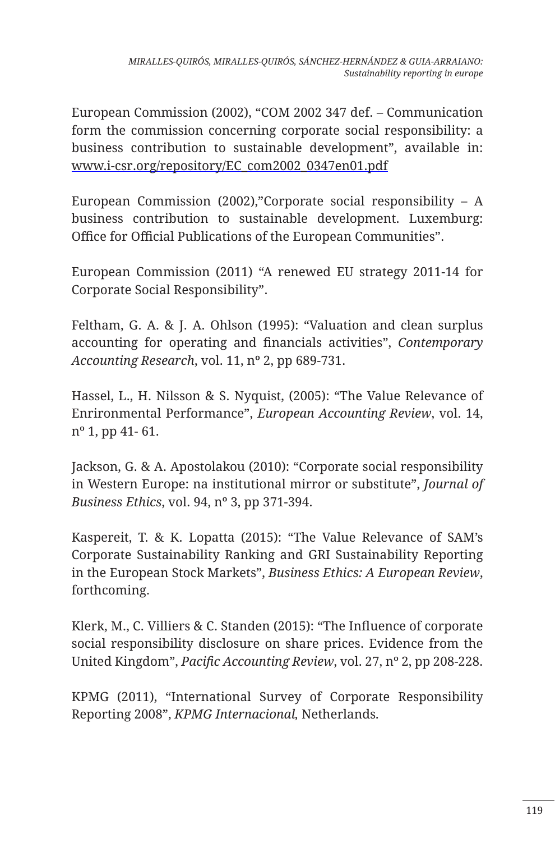European Commission (2002), "COM 2002 347 def. – Communication form the commission concerning corporate social responsibility: a business contribution to sustainable development", available in: www.i-csr.org/repository/EC\_com2002\_0347en01.pdf

European Commission (2002),"Corporate social responsibility  $- A$ business contribution to sustainable development. Luxemburg: Office for Official Publications of the European Communities".

European Commission (2011) "A renewed EU strategy 2011-14 for Corporate Social Responsibility".

Feltham, G. A. & J. A. Ohlson (1995): "Valuation and clean surplus accounting for operating and financials activities", *Contemporary Accounting Research*, vol. 11, nº 2, pp 689-731.

Hassel, L., H. Nilsson & S. Nyquist, (2005): "The Value Relevance of Enrironmental Performance", *European Accounting Review*, vol. 14, nº 1, pp 41- 61.

Jackson, G. & A. Apostolakou (2010): "Corporate social responsibility in Western Europe: na institutional mirror or substitute", *Journal of Business Ethics*, vol. 94, nº 3, pp 371-394.

Kaspereit, T. & K. Lopatta (2015): "The Value Relevance of SAM's Corporate Sustainability Ranking and GRI Sustainability Reporting in the European Stock Markets", *Business Ethics: A European Review*, forthcoming.

Klerk, M., C. Villiers & C. Standen (2015): "The Influence of corporate social responsibility disclosure on share prices. Evidence from the United Kingdom", *Pacific Accounting Review*, vol. 27, nº 2, pp 208-228.

KPMG (2011), "International Survey of Corporate Responsibility Reporting 2008", *KPMG Internacional,* Netherlands*.*